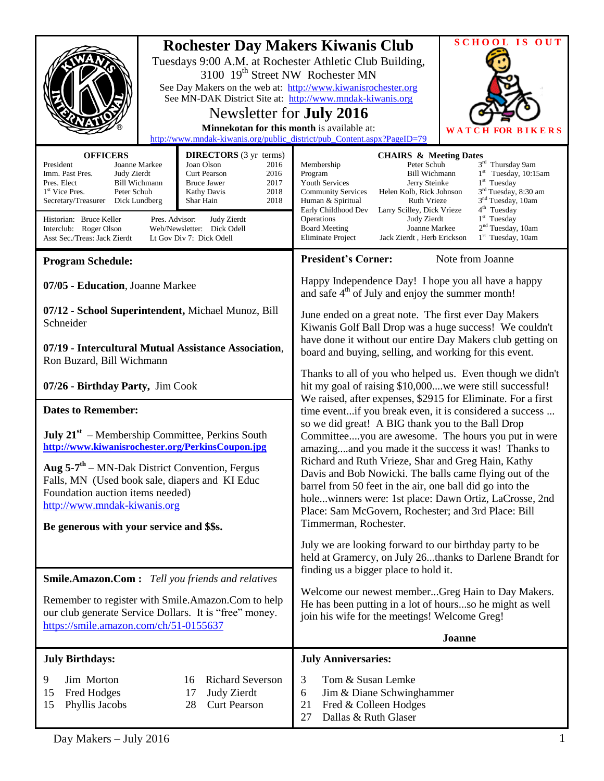| <b>SCHOOL IS OUT</b><br><b>Rochester Day Makers Kiwanis Club</b><br>Tuesdays 9:00 A.M. at Rochester Athletic Club Building,<br>3100 19 <sup>th</sup> Street NW Rochester MN<br>See Day Makers on the web at: http://www.kiwanisrochester.org<br>See MN-DAK District Site at: http://www.mndak-kiwanis.org<br>Newsletter for <b>July 2016</b><br>Minnekotan for this month is available at:<br>W A T<br>http://www.mndak-kiwanis.org/public_district/pub_Content.aspx?PageID=79                                                                                                                                         |                                                               |                                                                                                                                                                                                                                                                                                                                                                                                                                                                                                                                                                                                                                                                                                                                                                                                                                                                                                                                                                                                                                                                                                                                                                                                                                                                      |  |
|------------------------------------------------------------------------------------------------------------------------------------------------------------------------------------------------------------------------------------------------------------------------------------------------------------------------------------------------------------------------------------------------------------------------------------------------------------------------------------------------------------------------------------------------------------------------------------------------------------------------|---------------------------------------------------------------|----------------------------------------------------------------------------------------------------------------------------------------------------------------------------------------------------------------------------------------------------------------------------------------------------------------------------------------------------------------------------------------------------------------------------------------------------------------------------------------------------------------------------------------------------------------------------------------------------------------------------------------------------------------------------------------------------------------------------------------------------------------------------------------------------------------------------------------------------------------------------------------------------------------------------------------------------------------------------------------------------------------------------------------------------------------------------------------------------------------------------------------------------------------------------------------------------------------------------------------------------------------------|--|
| <b>OFFICERS</b><br><b>DIRECTORS</b> (3 yr terms)<br>Joan Olson<br>President<br>Joanne Markee<br>2016<br>Imm. Past Pres.<br><b>Curt Pearson</b><br>2016<br>Judy Zierdt<br>Pres. Elect<br><b>Bill Wichmann</b><br><b>Bruce Jawer</b><br>2017<br>1 <sup>st</sup> Vice Pres.<br>Peter Schuh<br>Kathy Davis<br>2018<br>Secretary/Treasurer<br>2018<br>Dick Lundberg<br>Shar Hain<br>Historian: Bruce Keller<br>Pres. Advisor:<br>Judy Zierdt<br>Interclub: Roger Olson<br>Web/Newsletter: Dick Odell<br>Asst Sec./Treas: Jack Zierdt<br>Lt Gov Div 7: Dick Odell                                                            |                                                               | <b>CHAIRS &amp; Meeting Dates</b><br>3 <sup>rd</sup> Thursday 9am<br>Membership<br>Peter Schuh<br>$1st$ Tuesday, 10:15am<br>Program<br><b>Bill Wichmann</b><br>$1st$ Tuesday<br><b>Youth Services</b><br>Jerry Steinke<br>3 <sup>rd</sup> Tuesday, 8:30 am<br><b>Community Services</b><br>Helen Kolb, Rick Johnson<br>3 <sup>nd</sup> Tuesday, 10am<br>Human & Spiritual<br><b>Ruth Vrieze</b><br>4 <sup>th</sup> Tuesday<br>Early Childhood Dev<br>Larry Scilley, Dick Vrieze<br>$1st$ Tuesday<br>Operations<br>Judy Zierdt<br>2 <sup>nd</sup> Tuesday, 10am<br>Joanne Markee<br><b>Board Meeting</b><br>Jack Zierdt, Herb Erickson<br>$1st$ Tuesday, 10am<br>Eliminate Project                                                                                                                                                                                                                                                                                                                                                                                                                                                                                                                                                                                    |  |
| <b>Program Schedule:</b>                                                                                                                                                                                                                                                                                                                                                                                                                                                                                                                                                                                               |                                                               | <b>President's Corner:</b><br>Note from Joanne                                                                                                                                                                                                                                                                                                                                                                                                                                                                                                                                                                                                                                                                                                                                                                                                                                                                                                                                                                                                                                                                                                                                                                                                                       |  |
| 07/05 - Education, Joanne Markee<br>07/12 - School Superintendent, Michael Munoz, Bill<br>Schneider<br>07/19 - Intercultural Mutual Assistance Association,<br>Ron Buzard, Bill Wichmann<br>07/26 - Birthday Party, Jim Cook<br><b>Dates to Remember:</b><br><b>July 21</b> <sup>st</sup> – Membership Committee, Perkins South<br>http://www.kiwanisrochester.org/PerkinsCoupon.jpg<br>Aug $5-7$ <sup>th</sup> – MN-Dak District Convention, Fergus<br>Falls, MN (Used book sale, diapers and KI Educ<br>Foundation auction items needed)<br>http://www.mndak-kiwanis.org<br>Be generous with your service and \$\$s. |                                                               | Happy Independence Day! I hope you all have a happy<br>and safe $4th$ of July and enjoy the summer month!<br>June ended on a great note. The first ever Day Makers<br>Kiwanis Golf Ball Drop was a huge success! We couldn't<br>have done it without our entire Day Makers club getting on<br>board and buying, selling, and working for this event.<br>Thanks to all of you who helped us. Even though we didn't<br>hit my goal of raising \$10,000 we were still successful!<br>We raised, after expenses, \$2915 for Eliminate. For a first<br>time eventif you break even, it is considered a success<br>so we did great! A BIG thank you to the Ball Drop<br>Committeeyou are awesome. The hours you put in were<br>amazingand you made it the success it was! Thanks to<br>Richard and Ruth Vrieze, Shar and Greg Hain, Kathy<br>Davis and Bob Nowicki. The balls came flying out of the<br>barrel from 50 feet in the air, one ball did go into the<br>holewinners were: 1st place: Dawn Ortiz, LaCrosse, 2nd<br>Place: Sam McGovern, Rochester; and 3rd Place: Bill<br>Timmerman, Rochester.<br>July we are looking forward to our birthday party to be<br>held at Gramercy, on July 26thanks to Darlene Brandt for<br>finding us a bigger place to hold it. |  |
|                                                                                                                                                                                                                                                                                                                                                                                                                                                                                                                                                                                                                        |                                                               |                                                                                                                                                                                                                                                                                                                                                                                                                                                                                                                                                                                                                                                                                                                                                                                                                                                                                                                                                                                                                                                                                                                                                                                                                                                                      |  |
| <b>Smile.Amazon.Com:</b> Tell you friends and relatives<br>Remember to register with Smile.Amazon.Com to help<br>our club generate Service Dollars. It is "free" money.<br>https://smile.amazon.com/ch/51-0155637                                                                                                                                                                                                                                                                                                                                                                                                      |                                                               | Welcome our newest memberGreg Hain to Day Makers.<br>He has been putting in a lot of hoursso he might as well<br>join his wife for the meetings! Welcome Greg!                                                                                                                                                                                                                                                                                                                                                                                                                                                                                                                                                                                                                                                                                                                                                                                                                                                                                                                                                                                                                                                                                                       |  |
|                                                                                                                                                                                                                                                                                                                                                                                                                                                                                                                                                                                                                        |                                                               | Joanne                                                                                                                                                                                                                                                                                                                                                                                                                                                                                                                                                                                                                                                                                                                                                                                                                                                                                                                                                                                                                                                                                                                                                                                                                                                               |  |
| <b>July Birthdays:</b><br>Jim Morton<br>9<br>16<br>15<br>Fred Hodges<br>17<br>Phyllis Jacobs<br>15<br>28                                                                                                                                                                                                                                                                                                                                                                                                                                                                                                               | <b>Richard Severson</b><br>Judy Zierdt<br><b>Curt Pearson</b> | <b>July Anniversaries:</b><br>Tom & Susan Lemke<br>3<br>Jim & Diane Schwinghammer<br>6<br>Fred & Colleen Hodges<br>21<br>Dallas & Ruth Glaser<br>27                                                                                                                                                                                                                                                                                                                                                                                                                                                                                                                                                                                                                                                                                                                                                                                                                                                                                                                                                                                                                                                                                                                  |  |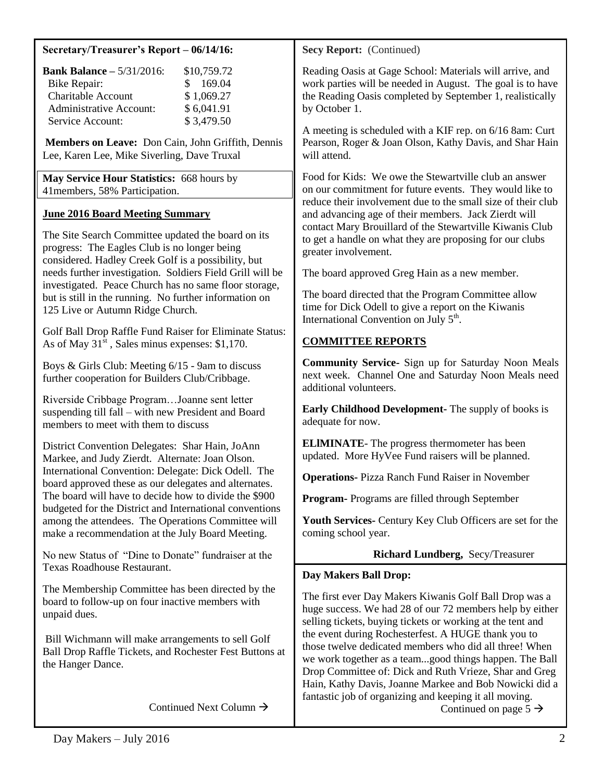#### **Secretary/Treasurer's Report – 06/14/16:**

| <b>Bank Balance - 5/31/2016:</b> | \$10,759.72 |
|----------------------------------|-------------|
| <b>Bike Repair:</b>              | \$169.04    |
| <b>Charitable Account</b>        | \$1,069.27  |
| <b>Administrative Account:</b>   | \$6,041.91  |
| Service Account:                 | \$3,479.50  |

**Members on Leave:** Don Cain, John Griffith, Dennis Lee, Karen Lee, Mike Siverling, Dave Truxal

**May Service Hour Statistics:** 668 hours by 41members, 58% Participation.

# **June 2016 Board Meeting Summary**

The Site Search Committee updated the board on its progress: The Eagles Club is no longer being considered. Hadley Creek Golf is a possibility, but needs further investigation. Soldiers Field Grill will be investigated. Peace Church has no same floor storage, but is still in the running. No further information on 125 Live or Autumn Ridge Church.

Golf Ball Drop Raffle Fund Raiser for Eliminate Status: As of May  $31^{\frac{5}{5}}$ , Sales minus expenses: \$1,170.

Boys & Girls Club: Meeting 6/15 - 9am to discuss further cooperation for Builders Club/Cribbage.

Riverside Cribbage Program…Joanne sent letter suspending till fall – with new President and Board members to meet with them to discuss

District Convention Delegates: Shar Hain, JoAnn Markee, and Judy Zierdt. Alternate: Joan Olson. International Convention: Delegate: Dick Odell. The board approved these as our delegates and alternates. The board will have to decide how to divide the \$900 budgeted for the District and International conventions among the attendees. The Operations Committee will make a recommendation at the July Board Meeting.

No new Status of "Dine to Donate" fundraiser at the Texas Roadhouse Restaurant.

The Membership Committee has been directed by the board to follow-up on four inactive members with unpaid dues.

Bill Wichmann will make arrangements to sell Golf Ball Drop Raffle Tickets, and Rochester Fest Buttons at the Hanger Dance.

Continued Next Column  $\rightarrow$ 

**Secy Report:** (Continued)

Reading Oasis at Gage School: Materials will arrive, and work parties will be needed in August. The goal is to have the Reading Oasis completed by September 1, realistically by October 1.

A meeting is scheduled with a KIF rep. on 6/16 8am: Curt Pearson, Roger & Joan Olson, Kathy Davis, and Shar Hain will attend.

Food for Kids: We owe the Stewartville club an answer on our commitment for future events. They would like to reduce their involvement due to the small size of their club and advancing age of their members. Jack Zierdt will contact Mary Brouillard of the Stewartville Kiwanis Club to get a handle on what they are proposing for our clubs greater involvement.

The board approved Greg Hain as a new member.

The board directed that the Program Committee allow time for Dick Odell to give a report on the Kiwanis International Convention on July  $5<sup>th</sup>$ .

# **COMMITTEE REPORTS**

**Community Service-** Sign up for Saturday Noon Meals next week.Channel One and Saturday Noon Meals need additional volunteers.

**Early Childhood Development-** The supply of books is adequate for now.

**ELlMINATE**- The progress thermometer has been updated. More HyVee Fund raisers will be planned.

**Operations-** Pizza Ranch Fund Raiser in November

**Program-** Programs are filled through September

**Youth Services-** Century Key Club Officers are set for the coming school year.

# **Richard Lundberg,** Secy/Treasurer

## **Day Makers Ball Drop:**

The first ever Day Makers Kiwanis Golf Ball Drop was a huge success. We had 28 of our 72 members help by either selling tickets, buying tickets or working at the tent and the event during Rochesterfest. A HUGE thank you to those twelve dedicated members who did all three! When we work together as a team...good things happen. The Ball Drop Committee of: Dick and Ruth Vrieze, Shar and Greg Hain, Kathy Davis, Joanne Markee and Bob Nowicki did a fantastic job of organizing and keeping it all moving.

Continued on page  $5 \rightarrow$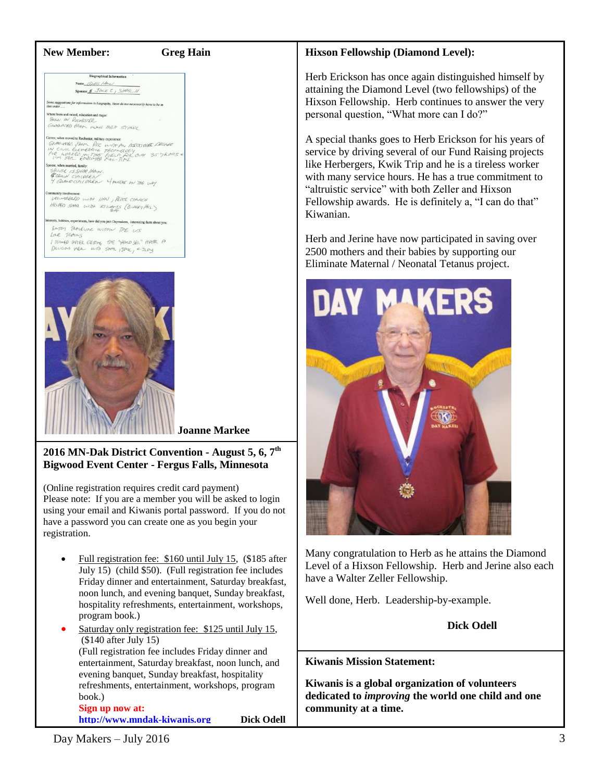#### **New Member: Greg Hain**

**Biographical Information** Name GAEG HAM Sponsor & JACK E , SHAR H

tions for information in biography, these do not necessarily have to be in

Carter, when moved to Rochester, military experience:<br>ISBN 0-47431 (Tok PCC by OFF) (DCCI 1978). LEGALE<br>IN CIUTLE EXERCTED IN THE TEST PRODUCT US TO THE THE STREET OF<br>IT PORT TRUE ENTIRE THE THE ONE OVER 35 TEPPES &<br>power,

**SOUR, WHEN MINING THE CONTRACT OF THE CONTRACT OF THE CONTRACT OF THE CONTRACT OF THE CONTRACT OF THE CONTRACT OF THE CONTRACT OF THE CONTRACT OF THE CONTRACT OF THE CONTRACT OF THE CONTRACT OF THE CONTRACT OF THE CONTRAC** 

THE INVERSION OF THE CHARGE OF THE COMPLETE OF THE COMPLETE OF THE COMPLETE OF THE COMPLETE OF THE ONLY THE ONLY THE ONLY THE ONLY THE ONLY THE ONLY THE ONLY THE ONLY THE ONLY THE ONLY THE ONLY THE ONLY THE ONLY THE ONLY T HELBED STANL WITH EILWARDS (BLOHEY MEL)

sts, hobbies, experiences, how did you join Daymakers, interesting facts about you: EASEY TRAVELINE WITHIN THE US TRAINS / JOINED BATER GETTING THE "HAND SEN" AFTER A



## **2016 MN-Dak District Convention - August 5, 6, 7th Bigwood Event Center - Fergus Falls, Minnesota**

(Online registration requires credit card payment) Please note: If you are a member you will be asked to login using your email and Kiwanis portal password. If you do not have a password you can create one as you begin your registration.

- Full registration fee: \$160 until July 15, (\$185 after July 15) (child \$50). (Full registration fee includes Friday dinner and entertainment, Saturday breakfast, noon lunch, and evening banquet, Sunday breakfast, hospitality refreshments, entertainment, workshops, program book.)
- Saturday only registration fee: \$125 until July 15, (\$140 after July 15) (Full registration fee includes Friday dinner and entertainment, Saturday breakfast, noon lunch, and evening banquet, Sunday breakfast, hospitality refreshments, entertainment, workshops, program book.) **Sign up now at:**

**[http://www.mndak-kiwanis.org](http://www.mndak-kiwanis.org/) Dick Odell**

## **Hixson Fellowship (Diamond Level):**

Herb Erickson has once again distinguished himself by attaining the Diamond Level (two fellowships) of the Hixson Fellowship. Herb continues to answer the very personal question, "What more can I do?"

A special thanks goes to Herb Erickson for his years of service by driving several of our Fund Raising projects like Herbergers, Kwik Trip and he is a tireless worker with many service hours. He has a true commitment to "altruistic service" with both Zeller and Hixson Fellowship awards. He is definitely a, "I can do that" Kiwanian.

Herb and Jerine have now participated in saving over 2500 mothers and their babies by supporting our Eliminate Maternal / Neonatal Tetanus project.



Many congratulation to Herb as he attains the Diamond Level of a Hixson Fellowship. Herb and Jerine also each have a Walter Zeller Fellowship.

Well done, Herb. Leadership-by-example.

**Dick Odell**

**Kiwanis Mission Statement:**

**Kiwanis is a global organization of volunteers dedicated to** *improving* **the world one child and one community at a time.**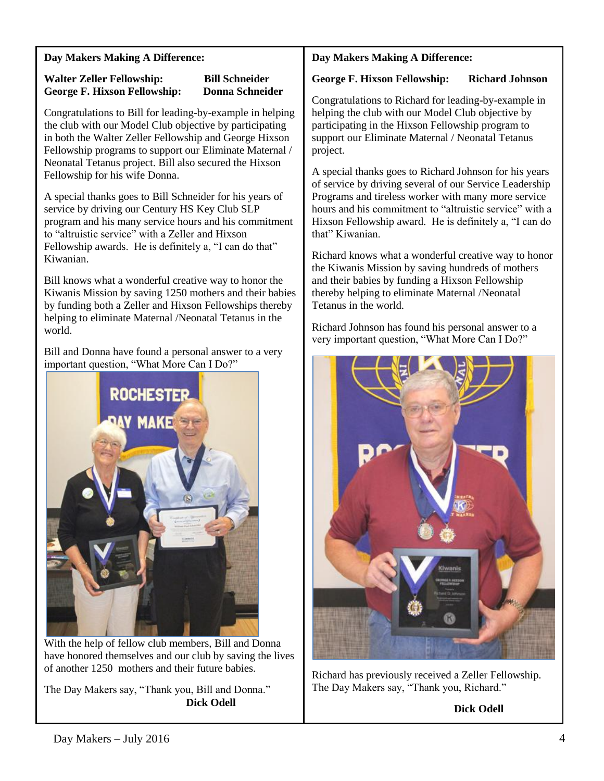# **Day Makers Making A Difference:**

## **Walter Zeller Fellowship: Bill Schneider George F. Hixson Fellowship: Donna Schneider**

Congratulations to Bill for leading-by-example in helping the club with our Model Club objective by participating in both the Walter Zeller Fellowship and George Hixson Fellowship programs to support our Eliminate Maternal / Neonatal Tetanus project. Bill also secured the Hixson Fellowship for his wife Donna.

A special thanks goes to Bill Schneider for his years of service by driving our Century HS Key Club SLP program and his many service hours and his commitment to "altruistic service" with a Zeller and Hixson Fellowship awards. He is definitely a, "I can do that" Kiwanian.

Bill knows what a wonderful creative way to honor the Kiwanis Mission by saving 1250 mothers and their babies by funding both a Zeller and Hixson Fellowships thereby helping to eliminate Maternal /Neonatal Tetanus in the world.

Bill and Donna have found a personal answer to a very important question, "What More Can I Do?"



With the help of fellow club members, Bill and Donna have honored themselves and our club by saving the lives of another 1250 mothers and their future babies.

The Day Makers say, "Thank you, Bill and Donna." **Dick Odell** 

# **Day Makers Making A Difference:**

## **George F. Hixson Fellowship: Richard Johnson**

Congratulations to Richard for leading-by-example in helping the club with our Model Club objective by participating in the Hixson Fellowship program to support our Eliminate Maternal / Neonatal Tetanus project.

A special thanks goes to Richard Johnson for his years of service by driving several of our Service Leadership Programs and tireless worker with many more service hours and his commitment to "altruistic service" with a Hixson Fellowship award. He is definitely a, "I can do that" Kiwanian.

Richard knows what a wonderful creative way to honor the Kiwanis Mission by saving hundreds of mothers and their babies by funding a Hixson Fellowship thereby helping to eliminate Maternal /Neonatal Tetanus in the world.

Richard Johnson has found his personal answer to a very important question, "What More Can I Do?"



Richard has previously received a Zeller Fellowship. The Day Makers say, "Thank you, Richard."

**Dick Odell**